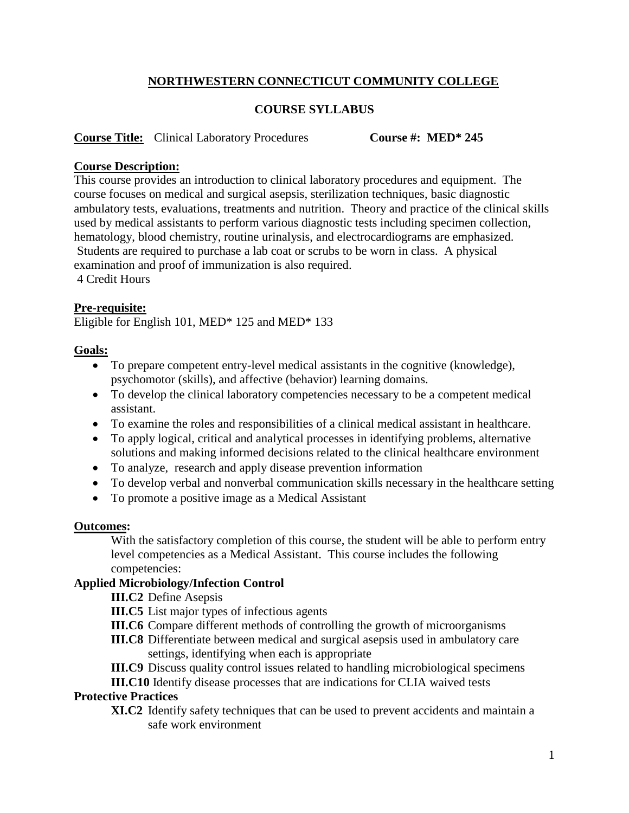# **NORTHWESTERN CONNECTICUT COMMUNITY COLLEGE**

## **COURSE SYLLABUS**

#### **Course Title:** Clinical Laboratory Procedures **Course #: MED\* 245**

#### **Course Description:**

This course provides an introduction to clinical laboratory procedures and equipment. The course focuses on medical and surgical asepsis, sterilization techniques, basic diagnostic ambulatory tests, evaluations, treatments and nutrition. Theory and practice of the clinical skills used by medical assistants to perform various diagnostic tests including specimen collection, hematology, blood chemistry, routine urinalysis, and electrocardiograms are emphasized. Students are required to purchase a lab coat or scrubs to be worn in class. A physical examination and proof of immunization is also required. 4 Credit Hours

## **Pre-requisite:**

Eligible for English 101, MED\* 125 and MED\* 133

#### **Goals:**

- To prepare competent entry-level medical assistants in the cognitive (knowledge), psychomotor (skills), and affective (behavior) learning domains.
- To develop the clinical laboratory competencies necessary to be a competent medical assistant.
- To examine the roles and responsibilities of a clinical medical assistant in healthcare.
- To apply logical, critical and analytical processes in identifying problems, alternative solutions and making informed decisions related to the clinical healthcare environment
- To analyze, research and apply disease prevention information
- To develop verbal and nonverbal communication skills necessary in the healthcare setting
- To promote a positive image as a Medical Assistant

#### **Outcomes:**

With the satisfactory completion of this course, the student will be able to perform entry level competencies as a Medical Assistant. This course includes the following competencies:

## **Applied Microbiology/Infection Control**

**III.C2** Define Asepsis

- **III.C5** List major types of infectious agents
- **III.C6** Compare different methods of controlling the growth of microorganisms
- **III.C8** Differentiate between medical and surgical asepsis used in ambulatory care settings, identifying when each is appropriate
- **III.C9** Discuss quality control issues related to handling microbiological specimens

**III.C10** Identify disease processes that are indications for CLIA waived tests

#### **Protective Practices**

**XI.C2** Identify safety techniques that can be used to prevent accidents and maintain a safe work environment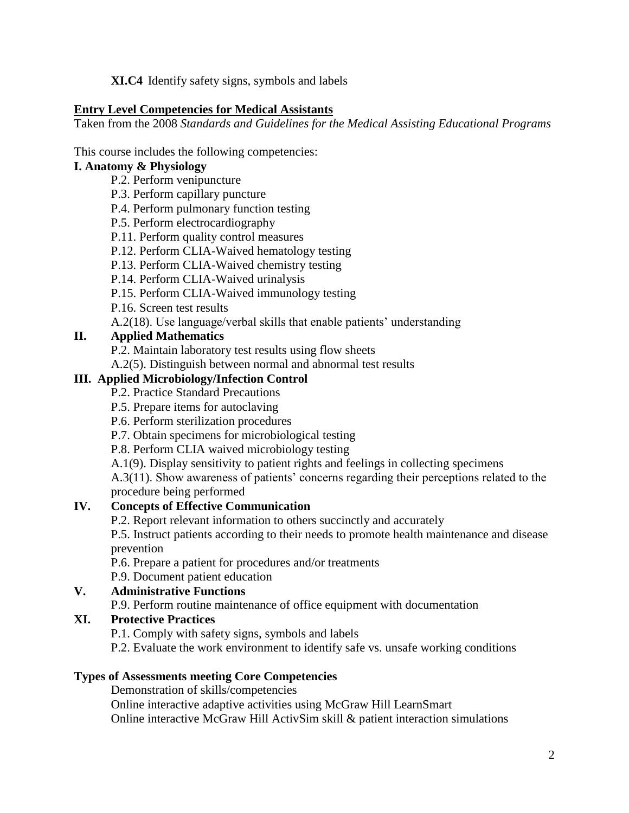**XI.C4** Identify safety signs, symbols and labels

## **Entry Level Competencies for Medical Assistants**

Taken from the 2008 *Standards and Guidelines for the Medical Assisting Educational Programs*

## This course includes the following competencies:

# **I. Anatomy & Physiology**

- P.2. Perform venipuncture
- P.3. Perform capillary puncture
- P.4. Perform pulmonary function testing
- P.5. Perform electrocardiography
- P.11. Perform quality control measures
- P.12. Perform CLIA-Waived hematology testing
- P.13. Perform CLIA-Waived chemistry testing
- P.14. Perform CLIA-Waived urinalysis
- P.15. Perform CLIA-Waived immunology testing
- P.16. Screen test results
- A.2(18). Use language/verbal skills that enable patients' understanding

# **II. Applied Mathematics**

P.2. Maintain laboratory test results using flow sheets

A.2(5). Distinguish between normal and abnormal test results

# **III. Applied Microbiology/Infection Control**

- P.2. Practice Standard Precautions
- P.5. Prepare items for autoclaving
- P.6. Perform sterilization procedures
- P.7. Obtain specimens for microbiological testing
- P.8. Perform CLIA waived microbiology testing
- A.1(9). Display sensitivity to patient rights and feelings in collecting specimens

A.3(11). Show awareness of patients' concerns regarding their perceptions related to the procedure being performed

# **IV. Concepts of Effective Communication**

P.2. Report relevant information to others succinctly and accurately

P.5. Instruct patients according to their needs to promote health maintenance and disease prevention

- P.6. Prepare a patient for procedures and/or treatments
- P.9. Document patient education

# **V. Administrative Functions**

P.9. Perform routine maintenance of office equipment with documentation

# **XI. Protective Practices**

P.1. Comply with safety signs, symbols and labels

P.2. Evaluate the work environment to identify safe vs. unsafe working conditions

# **Types of Assessments meeting Core Competencies**

Demonstration of skills/competencies Online interactive adaptive activities using McGraw Hill LearnSmart Online interactive McGraw Hill ActivSim skill & patient interaction simulations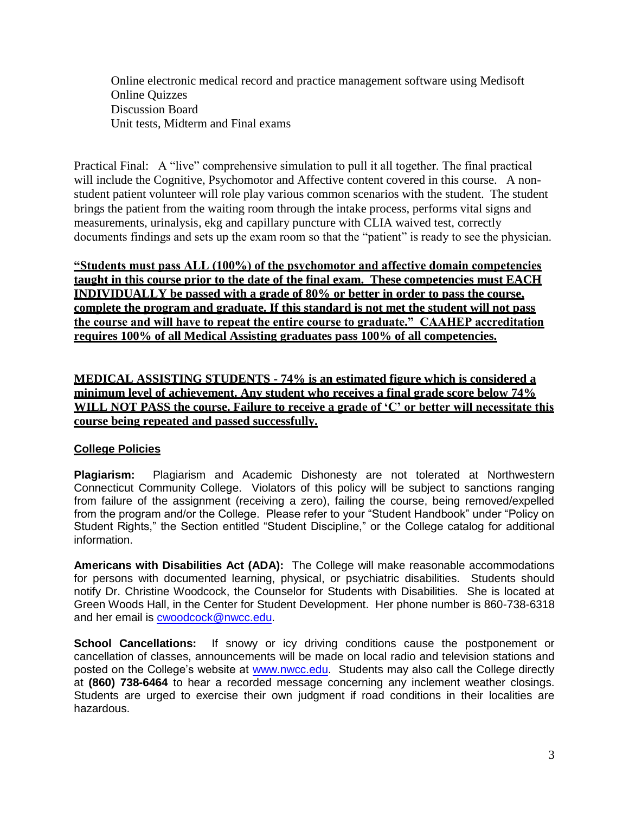Online electronic medical record and practice management software using Medisoft Online Quizzes Discussion Board Unit tests, Midterm and Final exams

Practical Final: A "live" comprehensive simulation to pull it all together. The final practical will include the Cognitive, Psychomotor and Affective content covered in this course. A nonstudent patient volunteer will role play various common scenarios with the student. The student brings the patient from the waiting room through the intake process, performs vital signs and measurements, urinalysis, ekg and capillary puncture with CLIA waived test, correctly documents findings and sets up the exam room so that the "patient" is ready to see the physician.

**"Students must pass ALL (100%) of the psychomotor and affective domain competencies taught in this course prior to the date of the final exam. These competencies must EACH INDIVIDUALLY be passed with a grade of 80% or better in order to pass the course, complete the program and graduate. If this standard is not met the student will not pass the course and will have to repeat the entire course to graduate." CAAHEP accreditation requires 100% of all Medical Assisting graduates pass 100% of all competencies.**

**MEDICAL ASSISTING STUDENTS - 74% is an estimated figure which is considered a minimum level of achievement. Any student who receives a final grade score below 74% WILL NOT PASS the course. Failure to receive a grade of 'C' or better will necessitate this course being repeated and passed successfully.** 

## **College Policies**

**Plagiarism:** Plagiarism and Academic Dishonesty are not tolerated at Northwestern Connecticut Community College. Violators of this policy will be subject to sanctions ranging from failure of the assignment (receiving a zero), failing the course, being removed/expelled from the program and/or the College. Please refer to your "Student Handbook" under "Policy on Student Rights," the Section entitled "Student Discipline," or the College catalog for additional information.

**Americans with Disabilities Act (ADA):** The College will make reasonable accommodations for persons with documented learning, physical, or psychiatric disabilities. Students should notify Dr. Christine Woodcock, the Counselor for Students with Disabilities. She is located at Green Woods Hall, in the Center for Student Development. Her phone number is 860-738-6318 and her email is [cwoodcock@nwcc.edu.](mailto:cwoodcock@nwcc.edu)

**School Cancellations:** If snowy or icy driving conditions cause the postponement or cancellation of classes, announcements will be made on local radio and television stations and posted on the College's website at [www.nwcc.edu.](http://www.nwcc.edu/) Students may also call the College directly at **(860) 738-6464** to hear a recorded message concerning any inclement weather closings. Students are urged to exercise their own judgment if road conditions in their localities are hazardous.